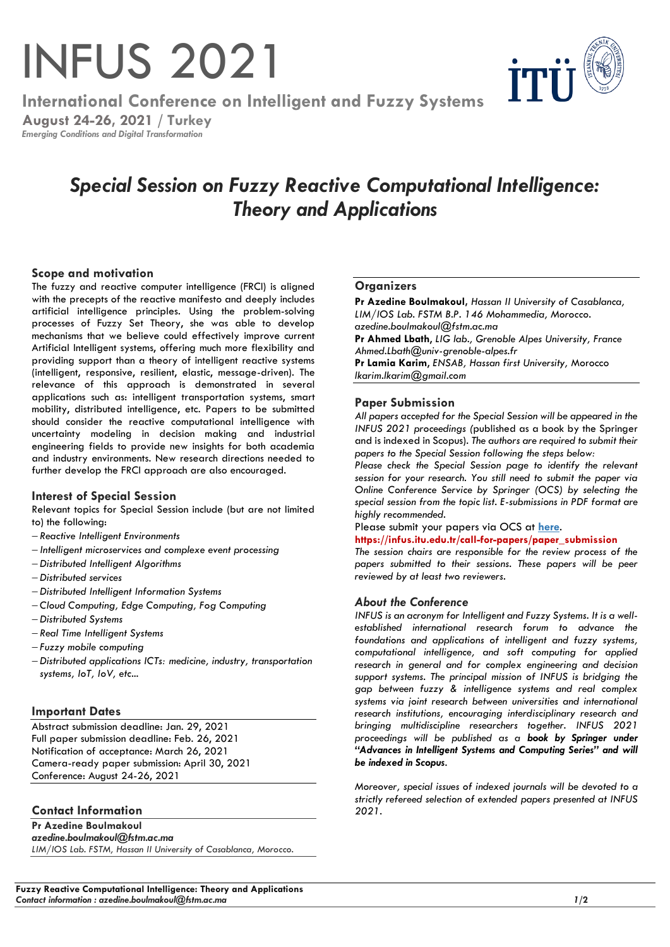# INFUS 2021

ŤT'

**International Conference on Intelligent and Fuzzy Systems**

**August 24-26, 2021 / Turkey** *Emerging Conditions and Digital Transformation*

# *Special Session on Fuzzy Reactive Computational Intelligence: Theory and Applications*

# **Scope and motivation**

The fuzzy and reactive computer intelligence (FRCI) is aligned with the precepts of the reactive manifesto and deeply includes artificial intelligence principles. Using the problem-solving processes of Fuzzy Set Theory, she was able to develop mechanisms that we believe could effectively improve current Artificial Intelligent systems, offering much more flexibility and providing support than a theory of intelligent reactive systems (intelligent, responsive, resilient, elastic, message-driven). The relevance of this approach is demonstrated in several applications such as: intelligent transportation systems, smart mobility, distributed intelligence, etc. Papers to be submitted should consider the reactive computational intelligence with uncertainty modeling in decision making and industrial engineering fields to provide new insights for both academia and industry environments. New research directions needed to further develop the FRCI approach are also encouraged.

# **Interest of Special Session**

Relevant topics for Special Session include (but are not limited to) the following:

- − *Reactive Intelligent Environments*
- − *Intelligent microservices and complexe event processing*
- − *Distributed Intelligent Algorithms*
- − *Distributed services*
- − *Distributed Intelligent Information Systems*
- − *Cloud Computing, Edge Computing, Fog Computing*
- − *Distributed Systems*
- − *Real Time Intelligent Systems*
- − *Fuzzy mobile computing*
- − *Distributed applications ICTs: medicine, industry, transportation systems, IoT, IoV, etc...*

# **Important Dates**

Abstract submission deadline: Jan. 29, 2021 Full paper submission deadline: Feb. 26, 2021 Notification of acceptance: March 26, 2021 Camera-ready paper submission: April 30, 2021 Conference: August 24-26, 2021

# **Contact Information**

**Pr Azedine Boulmakoul** *azedine.boulmakoul@fstm.ac.ma LIM/IOS Lab. FSTM, Hassan II University of Casablanca, Morocco.*

#### **Fuzzy Reactive Computational Intelligence: Theory and Applications** *Contact information : azedine.boulmakoul@fstm.ac.ma 1***/2**

## **Organizers**

**Pr Azedine Boulmakoul,** *Hassan II University of Casablanca, LIM/IOS Lab. FSTM B.P. 146 Mohammedia, Morocco. azedine.boulmakoul@fstm.ac.ma*

**Pr Ahmed Lbath**, *LIG lab., Grenoble Alpes University, France Ahmed.Lbath@univ-grenoble-alpes.fr*

**Pr Lamia Karim**, *ENSAB, Hassan first University,* Morocco *lkarim.lkarim@gmail.com*

## **Paper Submission**

*All papers accepted for the Special Session will be appeared in the INFUS 2021 proceedings (*published as a book by the Springer and is indexed in Scopus)*. The authors are required to submit their papers to the Special Session following the steps below:*

*Please check the Special Session page to identify the relevant session for your research. You still need to submit the paper via Online Conference Service by Springer (OCS) by selecting the special session from the topic list. E-submissions in PDF format are highly recommended.*

#### Please submit your papers via OCS at **[here](https://ocs.springer.com/misc/home/INFUS2021)**.

#### **https://infus.itu.edu.tr/call-for-papers/paper\_submission**

*The session chairs are responsible for the review process of the papers submitted to their sessions. These papers will be peer reviewed by at least two reviewers.*

#### *About the Conference*

*INFUS is an acronym for Intelligent and Fuzzy Systems. It is a wellestablished international research forum to advance the foundations and applications of intelligent and fuzzy systems, computational intelligence, and soft computing for applied research in general and for complex engineering and decision support systems. The principal mission of INFUS is bridging the gap between fuzzy & intelligence systems and real complex systems via joint research between universities and international research institutions, encouraging interdisciplinary research and bringing multidiscipline researchers together. INFUS 2021 proceedings will be published as a book by Springer under "Advances in Intelligent Systems and Computing Series" and will be indexed in Scopus.* 

*Moreover, special issues of indexed journals will be devoted to a strictly refereed selection of extended papers presented at INFUS 2021.*